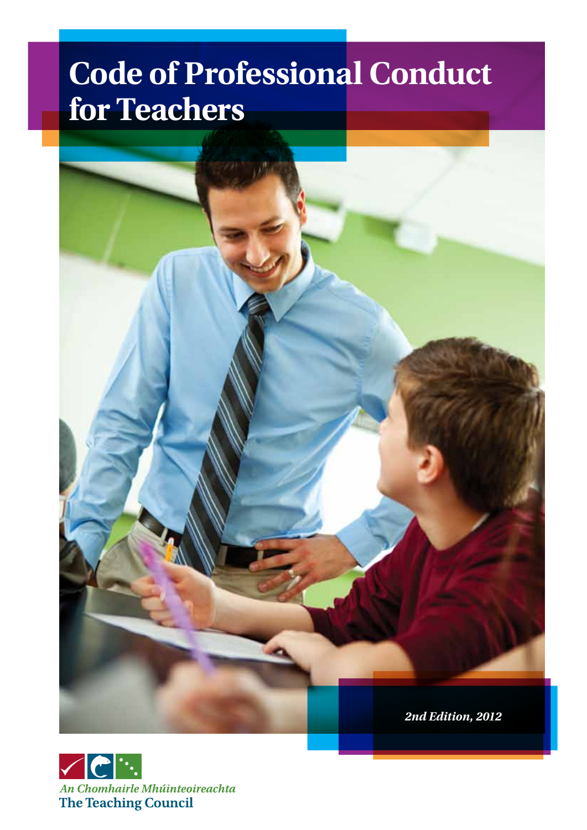### **Code of Professional Conduct for Teachers**



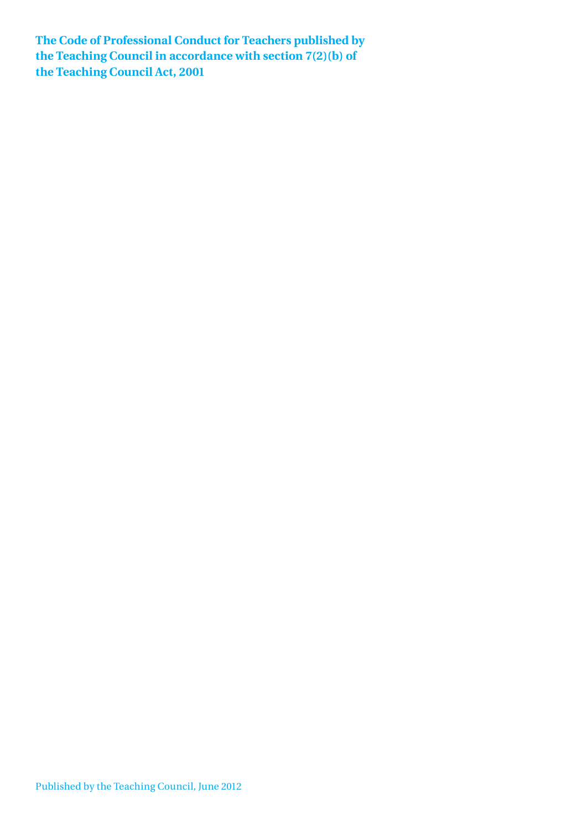**The Code of Professional Conduct for Teachers published by the Teaching Council in accordance with section 7(2)(b) of the Teaching Council Act, 2001**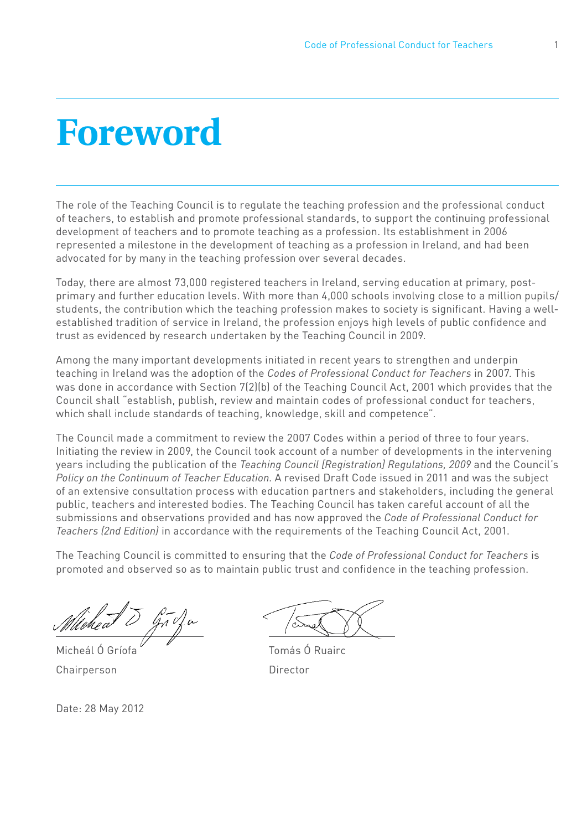### **Foreword**

The role of the Teaching Council is to regulate the teaching profession and the professional conduct of teachers, to establish and promote professional standards, to support the continuing professional development of teachers and to promote teaching as a profession. Its establishment in 2006 represented a milestone in the development of teaching as a profession in Ireland, and had been advocated for by many in the teaching profession over several decades.

Today, there are almost 73,000 registered teachers in Ireland, serving education at primary, postprimary and further education levels. With more than 4,000 schools involving close to a million pupils/ students, the contribution which the teaching profession makes to society is significant. Having a wellestablished tradition of service in Ireland, the profession enjoys high levels of public confidence and trust as evidenced by research undertaken by the Teaching Council in 2009.

Among the many important developments initiated in recent years to strengthen and underpin teaching in Ireland was the adoption of the *Codes of Professional Conduct for Teachers* in 2007. This was done in accordance with Section 7(2)(b) of the Teaching Council Act, 2001 which provides that the Council shall "establish, publish, review and maintain codes of professional conduct for teachers, which shall include standards of teaching, knowledge, skill and competence".

The Council made a commitment to review the 2007 Codes within a period of three to four years. Initiating the review in 2009, the Council took account of a number of developments in the intervening years including the publication of the *Teaching Council [Registration] Regulations, 2009* and the Council's *Policy on the Continuum of Teacher Education*. A revised Draft Code issued in 2011 and was the subject of an extensive consultation process with education partners and stakeholders, including the general public, teachers and interested bodies. The Teaching Council has taken careful account of all the submissions and observations provided and has now approved the *Code of Professional Conduct for Teachers (2nd Edition)* in accordance with the requirements of the Teaching Council Act, 2001.

The Teaching Council is committed to ensuring that the *Code of Professional Conduct for Teachers* is promoted and observed so as to maintain public trust and confidence in the teaching profession.

 $\overline{\phantom{a}}$ 

Chairperson Director

Micheál Ó Gríofa **Thuairc** Tomás Ó Ruairc

Date: 28 May 2012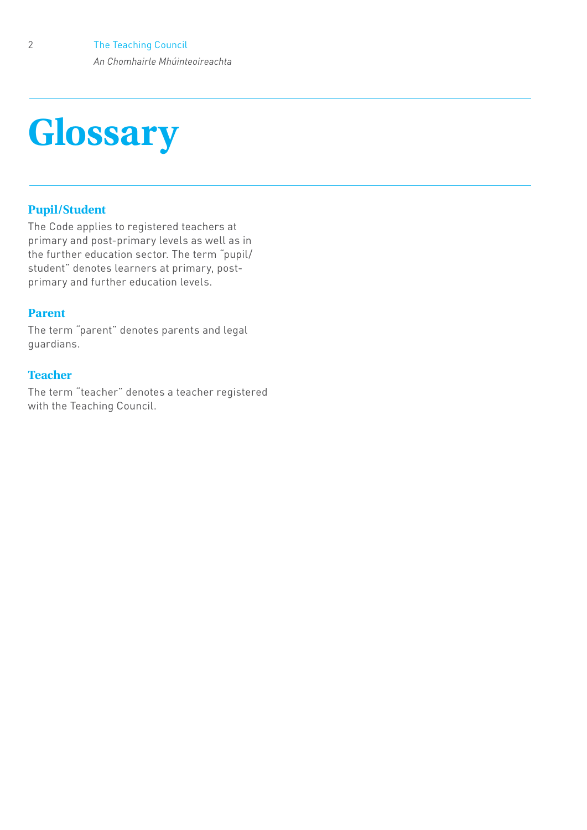# **Glossary**

#### **Pupil/Student**

The Code applies to registered teachers at primary and post-primary levels as well as in the further education sector. The term "pupil/ student" denotes learners at primary, postprimary and further education levels.

#### **Parent**

The term "parent" denotes parents and legal guardians.

#### **Teacher**

The term "teacher" denotes a teacher registered with the Teaching Council.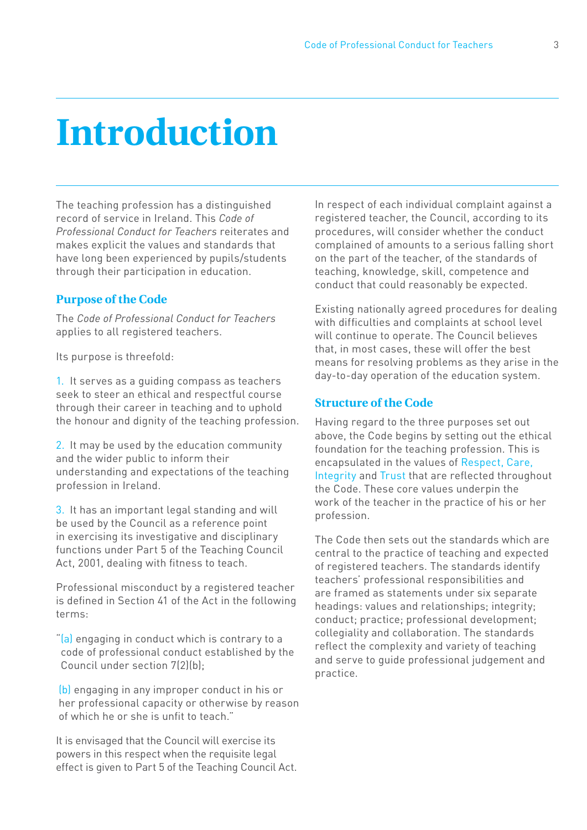## **Introduction**

The teaching profession has a distinguished record of service in Ireland. This *Code of Professional Conduct for Teachers* reiterates and makes explicit the values and standards that have long been experienced by pupils/students through their participation in education.

#### **Purpose of the Code**

The *Code of Professional Conduct for Teachers* applies to all registered teachers.

Its purpose is threefold:

1. It serves as a guiding compass as teachers seek to steer an ethical and respectful course through their career in teaching and to uphold the honour and dignity of the teaching profession.

2. It may be used by the education community and the wider public to inform their understanding and expectations of the teaching profession in Ireland.

3. It has an important legal standing and will be used by the Council as a reference point in exercising its investigative and disciplinary functions under Part 5 of the Teaching Council Act, 2001, dealing with fitness to teach.

Professional misconduct by a registered teacher is defined in Section 41 of the Act in the following terms:

"(a) engaging in conduct which is contrary to a code of professional conduct established by the Council under section 7(2)(b);

(b) engaging in any improper conduct in his or her professional capacity or otherwise by reason of which he or she is unfit to teach."

It is envisaged that the Council will exercise its powers in this respect when the requisite legal effect is given to Part 5 of the Teaching Council Act. In respect of each individual complaint against a registered teacher, the Council, according to its procedures, will consider whether the conduct complained of amounts to a serious falling short on the part of the teacher, of the standards of teaching, knowledge, skill, competence and conduct that could reasonably be expected.

Existing nationally agreed procedures for dealing with difficulties and complaints at school level will continue to operate. The Council believes that, in most cases, these will offer the best means for resolving problems as they arise in the day-to-day operation of the education system.

#### **Structure of the Code**

Having regard to the three purposes set out above, the Code begins by setting out the ethical foundation for the teaching profession. This is encapsulated in the values of Respect, Care, Integrity and Trust that are reflected throughout the Code. These core values underpin the work of the teacher in the practice of his or her profession.

The Code then sets out the standards which are central to the practice of teaching and expected of registered teachers. The standards identify teachers' professional responsibilities and are framed as statements under six separate headings: values and relationships; integrity; conduct; practice; professional development; collegiality and collaboration. The standards reflect the complexity and variety of teaching and serve to guide professional judgement and practice.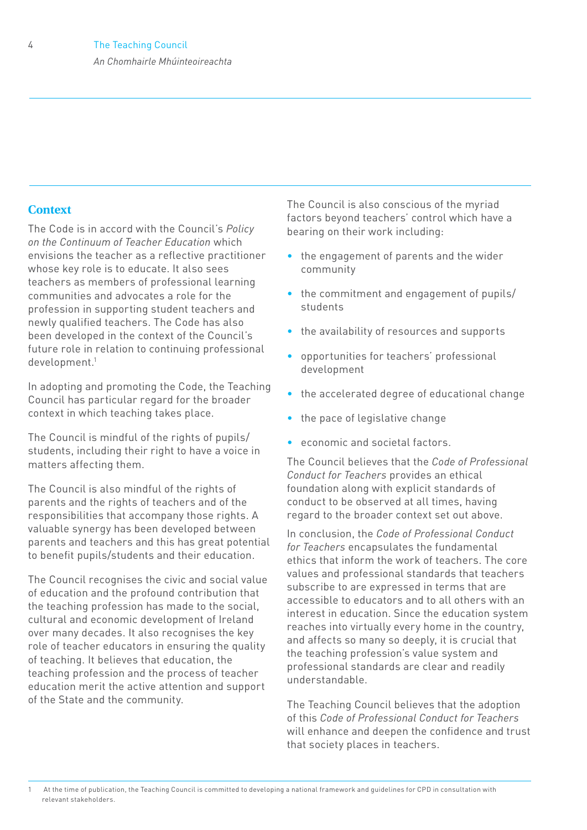#### **Context**

The Code is in accord with the Council's *Policy on the Continuum of Teacher Education* which envisions the teacher as a reflective practitioner whose key role is to educate. It also sees teachers as members of professional learning communities and advocates a role for the profession in supporting student teachers and newly qualified teachers. The Code has also been developed in the context of the Council's future role in relation to continuing professional development.1

In adopting and promoting the Code, the Teaching Council has particular regard for the broader context in which teaching takes place.

The Council is mindful of the rights of pupils/ students, including their right to have a voice in matters affecting them.

The Council is also mindful of the rights of parents and the rights of teachers and of the responsibilities that accompany those rights. A valuable synergy has been developed between parents and teachers and this has great potential to benefit pupils/students and their education.

The Council recognises the civic and social value of education and the profound contribution that the teaching profession has made to the social, cultural and economic development of Ireland over many decades. It also recognises the key role of teacher educators in ensuring the quality of teaching. It believes that education, the teaching profession and the process of teacher education merit the active attention and support of the State and the community.

The Council is also conscious of the myriad factors beyond teachers' control which have a bearing on their work including:

- the engagement of parents and the wider community
- the commitment and engagement of pupils/ students
- the availability of resources and supports
- opportunities for teachers' professional development
- the accelerated degree of educational change
- the pace of legislative change
- economic and societal factors.

The Council believes that the *Code of Professional Conduct for Teachers* provides an ethical foundation along with explicit standards of conduct to be observed at all times, having regard to the broader context set out above.

In conclusion, the *Code of Professional Conduct for Teachers* encapsulates the fundamental ethics that inform the work of teachers. The core values and professional standards that teachers subscribe to are expressed in terms that are accessible to educators and to all others with an interest in education. Since the education system reaches into virtually every home in the country, and affects so many so deeply, it is crucial that the teaching profession's value system and professional standards are clear and readily understandable.

The Teaching Council believes that the adoption of this *Code of Professional Conduct for Teachers*  will enhance and deepen the confidence and trust that society places in teachers.

<sup>1</sup> At the time of publication, the Teaching Council is committed to developing a national framework and guidelines for CPD in consultation with relevant stakeholders.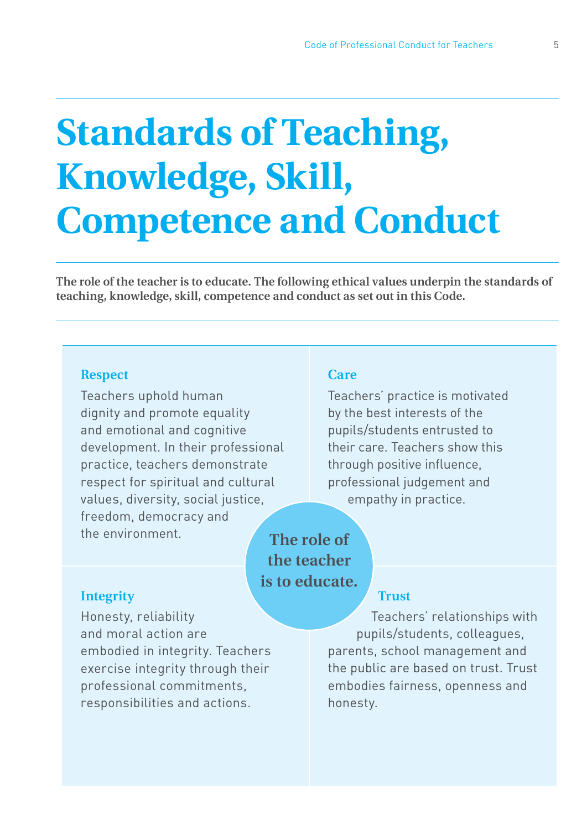# **Standards of Teaching, Knowledge, Skill, Competence and Conduct**

**The role of the teacher is to educate. The following ethical values underpin the standards of teaching, knowledge, skill, competence and conduct as set out in this Code.** 

#### **Respect**

Teachers uphold human dignity and promote equality and emotional and cognitive development. In their professional practice, teachers demonstrate respect for spiritual and cultural values, diversity, social justice, freedom, democracy and the environment.

#### **Care**

Teachers' practice is motivated by the best interests of the pupils/students entrusted to their care. Teachers show this through positive influence, professional judgement and empathy in practice.

**The role of the teacher is to educate.**

#### **Integrity**

Honesty, reliability and moral action are embodied in integrity. Teachers exercise integrity through their professional commitments, responsibilities and actions.

### **Trust**

Teachers' relationships with pupils/students, colleagues, parents, school management and the public are based on trust. Trust embodies fairness, openness and honesty.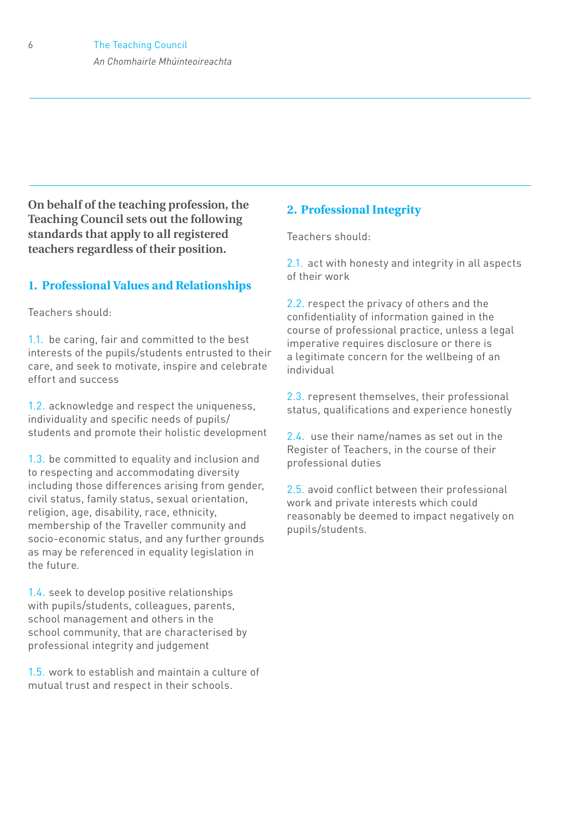**On behalf of the teaching profession, the Teaching Council sets out the following standards that apply to all registered teachers regardless of their position.**

#### **1. Professional Values and Relationships**

Teachers should:

1.1. be caring, fair and committed to the best interests of the pupils/students entrusted to their care, and seek to motivate, inspire and celebrate effort and success

1.2. acknowledge and respect the uniqueness, individuality and specific needs of pupils/ students and promote their holistic development

1.3. be committed to equality and inclusion and to respecting and accommodating diversity including those differences arising from gender, civil status, family status, sexual orientation, religion, age, disability, race, ethnicity, membership of the Traveller community and socio-economic status, and any further grounds as may be referenced in equality legislation in the future.

1.4. seek to develop positive relationships with pupils/students, colleagues, parents, school management and others in the school community, that are characterised by professional integrity and judgement

1.5. work to establish and maintain a culture of mutual trust and respect in their schools.

#### **2. Professional Integrity**

Teachers should:

2.1. act with honesty and integrity in all aspects of their work

2.2. respect the privacy of others and the confidentiality of information gained in the course of professional practice, unless a legal imperative requires disclosure or there is a legitimate concern for the wellbeing of an individual

2.3. represent themselves, their professional status, qualifications and experience honestly

2.4. use their name/names as set out in the Register of Teachers, in the course of their professional duties

2.5. avoid conflict between their professional work and private interests which could reasonably be deemed to impact negatively on pupils/students.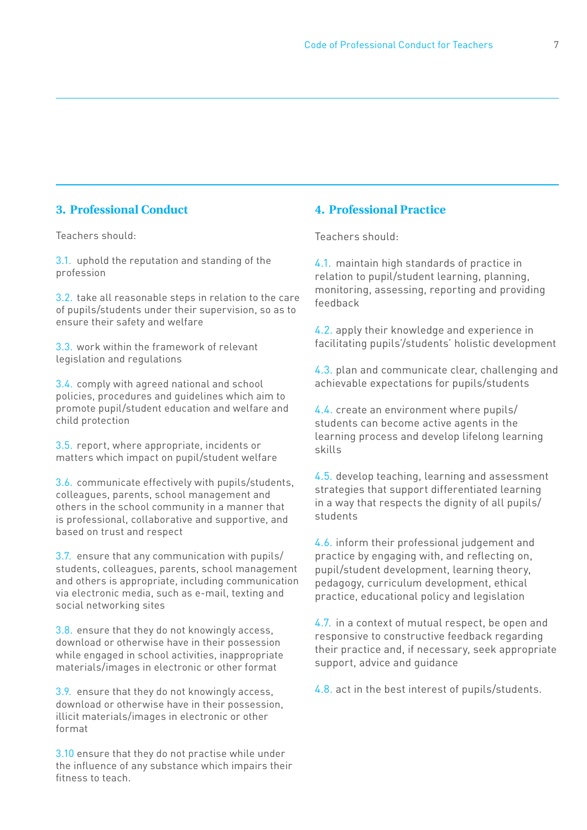#### **3. Professional Conduct**

Teachers should:

3.1. uphold the reputation and standing of the profession

3.2. take all reasonable steps in relation to the care of pupils/students under their supervision, so as to ensure their safety and welfare

3.3. work within the framework of relevant legislation and regulations

3.4. comply with agreed national and school policies, procedures and guidelines which aim to promote pupil/student education and welfare and child protection

3.5. report, where appropriate, incidents or matters which impact on pupil/student welfare

3.6. communicate effectively with pupils/students, colleagues, parents, school management and others in the school community in a manner that is professional, collaborative and supportive, and based on trust and respect

3.7. ensure that any communication with pupils/ students, colleagues, parents, school management and others is appropriate, including communication via electronic media, such as e-mail, texting and social networking sites

3.8. ensure that they do not knowingly access, download or otherwise have in their possession while engaged in school activities, inappropriate materials/images in electronic or other format

3.9. ensure that they do not knowingly access, download or otherwise have in their possession, illicit materials/images in electronic or other format

3.10 ensure that they do not practise while under the influence of any substance which impairs their fitness to teach.

#### **4. Professional Practice**

Teachers should:

4.1. maintain high standards of practice in relation to pupil/student learning, planning, monitoring, assessing, reporting and providing feedback

4.2. apply their knowledge and experience in facilitating pupils'/students' holistic development

4.3. plan and communicate clear, challenging and achievable expectations for pupils/students

4.4. create an environment where pupils/ students can become active agents in the learning process and develop lifelong learning skills

4.5. develop teaching, learning and assessment strategies that support differentiated learning in a way that respects the dignity of all pupils/ students

4.6. inform their professional judgement and practice by engaging with, and reflecting on, pupil/student development, learning theory, pedagogy, curriculum development, ethical practice, educational policy and legislation

4.7. in a context of mutual respect, be open and responsive to constructive feedback regarding their practice and, if necessary, seek appropriate support, advice and guidance

4.8. act in the best interest of pupils/students.